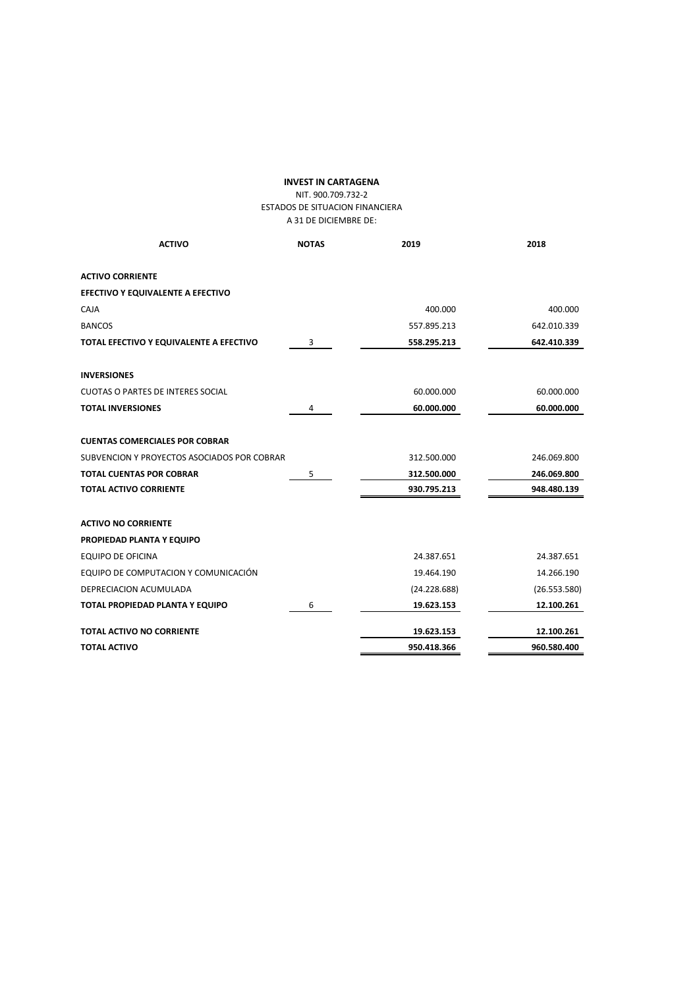# **INVEST IN CARTAGENA**

#### NIT. 900.709.732-2 ESTADOS DE SITUACION FINANCIERA A 31 DE DICIEMBRE DE:

| <b>ACTIVO</b>                               | <b>NOTAS</b> | 2019         | 2018         |
|---------------------------------------------|--------------|--------------|--------------|
|                                             |              |              |              |
| <b>ACTIVO CORRIENTE</b>                     |              |              |              |
| EFECTIVO Y EQUIVALENTE A EFECTIVO           |              |              |              |
| CAJA                                        |              | 400.000      | 400.000      |
| <b>BANCOS</b>                               |              | 557.895.213  | 642.010.339  |
| TOTAL EFECTIVO Y EQUIVALENTE A EFECTIVO     | 3            | 558.295.213  | 642.410.339  |
| <b>INVERSIONES</b>                          |              |              |              |
| <b>CUOTAS O PARTES DE INTERES SOCIAL</b>    |              | 60.000.000   | 60.000.000   |
| <b>TOTAL INVERSIONES</b>                    | 4            | 60.000.000   | 60.000.000   |
| <b>CUENTAS COMERCIALES POR COBRAR</b>       |              |              |              |
| SUBVENCION Y PROYECTOS ASOCIADOS POR COBRAR |              | 312.500.000  | 246.069.800  |
| <b>TOTAL CUENTAS POR COBRAR</b>             | 5            | 312.500.000  | 246.069.800  |
| <b>TOTAL ACTIVO CORRIENTE</b>               |              | 930.795.213  | 948.480.139  |
| <b>ACTIVO NO CORRIENTE</b>                  |              |              |              |
| PROPIEDAD PLANTA Y EQUIPO                   |              |              |              |
| <b>EQUIPO DE OFICINA</b>                    |              | 24.387.651   | 24.387.651   |
| EQUIPO DE COMPUTACION Y COMUNICACIÓN        |              | 19.464.190   | 14.266.190   |
| DEPRECIACION ACUMULADA                      |              | (24.228.688) | (26.553.580) |
| TOTAL PROPIEDAD PLANTA Y EQUIPO             | 6            | 19.623.153   | 12.100.261   |
| <b>TOTAL ACTIVO NO CORRIENTE</b>            |              | 19.623.153   | 12.100.261   |
| <b>TOTAL ACTIVO</b>                         |              | 950.418.366  | 960.580.400  |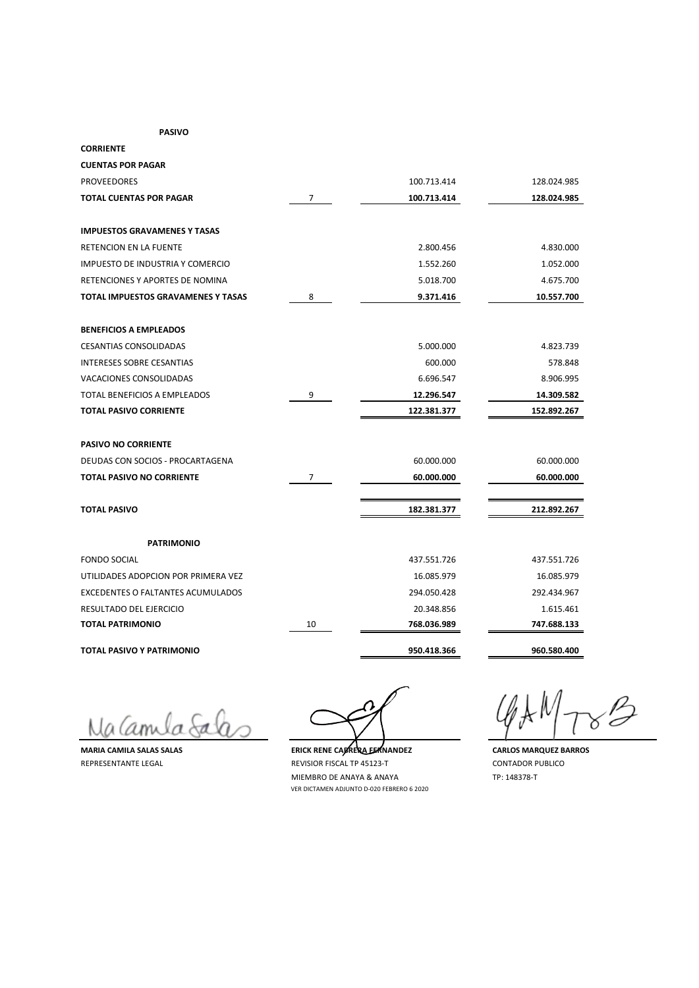#### **PASIVO**

| <b>CORRIENTE</b>                         |                |             |             |
|------------------------------------------|----------------|-------------|-------------|
| <b>CUENTAS POR PAGAR</b>                 |                |             |             |
| <b>PROVEEDORES</b>                       |                | 100.713.414 | 128.024.985 |
| TOTAL CUENTAS POR PAGAR                  | 7              | 100.713.414 | 128.024.985 |
|                                          |                |             |             |
| <b>IMPUESTOS GRAVAMENES Y TASAS</b>      |                |             |             |
| RETENCION EN LA FUENTE                   |                | 2.800.456   | 4.830.000   |
| IMPUESTO DE INDUSTRIA Y COMERCIO         |                | 1.552.260   | 1.052.000   |
| RETENCIONES Y APORTES DE NOMINA          |                | 5.018.700   | 4.675.700   |
| TOTAL IMPUESTOS GRAVAMENES Y TASAS       | 8              | 9.371.416   | 10.557.700  |
| <b>BENEFICIOS A EMPLEADOS</b>            |                |             |             |
| <b>CESANTIAS CONSOLIDADAS</b>            |                | 5.000.000   | 4.823.739   |
| <b>INTERESES SOBRE CESANTIAS</b>         |                | 600.000     | 578.848     |
| VACACIONES CONSOLIDADAS                  |                | 6.696.547   | 8.906.995   |
| <b>TOTAL BENEFICIOS A EMPLEADOS</b>      | 9              | 12.296.547  | 14.309.582  |
| <b>TOTAL PASIVO CORRIENTE</b>            |                | 122.381.377 | 152.892.267 |
| <b>PASIVO NO CORRIENTE</b>               |                |             |             |
| DEUDAS CON SOCIOS - PROCARTAGENA         |                | 60.000.000  | 60.000.000  |
| <b>TOTAL PASIVO NO CORRIENTE</b>         | $\overline{7}$ | 60.000.000  | 60.000.000  |
| <b>TOTAL PASIVO</b>                      |                | 182.381.377 | 212.892.267 |
| <b>PATRIMONIO</b>                        |                |             |             |
| <b>FONDO SOCIAL</b>                      |                | 437.551.726 | 437.551.726 |
| UTILIDADES ADOPCION POR PRIMERA VEZ      |                | 16.085.979  | 16.085.979  |
| <b>EXCEDENTES O FALTANTES ACUMULADOS</b> |                | 294.050.428 | 292.434.967 |
| RESULTADO DEL EJERCICIO                  |                | 20.348.856  | 1.615.461   |
| <b>TOTAL PATRIMONIO</b>                  | 10             | 768.036.989 | 747.688.133 |
| TOTAL PASIVO Y PATRIMONIO                |                | 950.418.366 | 960.580.400 |

Na Camula Salas

**MARIA CAMILA SALAS SALAS ERICK RENE CABRERA FERICA RENE CABRES CARLOS MARQUEZ BARROS** REPRESENTANTE LEGAL **REVISIOR FISCAL TP 45123-T** CONTADOR PUBLICO MIEMBRO DE ANAYA & ANAYA TP: 148378-T VER DICTAMEN ADJUNTO D-020 FEBRERO 6 2020

 $\mathscr{B}$ Ō